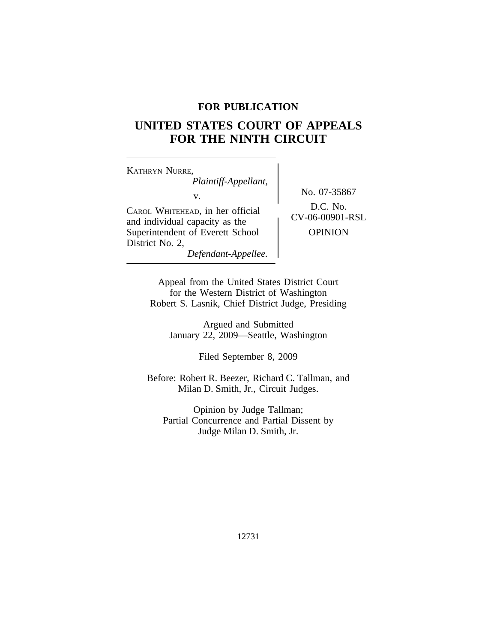## **FOR PUBLICATION**

# **UNITED STATES COURT OF APPEALS FOR THE NINTH CIRCUIT**

<sup>K</sup>ATHRYN NURRE, *Plaintiff-Appellant,* No. 07-35867 v. CAROL WHITEHEAD, in her official <br>and individual capacity as the CV-06-00901-RSL Superintendent of Everett School | OPINION District No. 2, *Defendant-Appellee.*

Appeal from the United States District Court for the Western District of Washington Robert S. Lasnik, Chief District Judge, Presiding

> Argued and Submitted January 22, 2009—Seattle, Washington

> > Filed September 8, 2009

Before: Robert R. Beezer, Richard C. Tallman, and Milan D. Smith, Jr., Circuit Judges.

Opinion by Judge Tallman; Partial Concurrence and Partial Dissent by Judge Milan D. Smith, Jr.

12731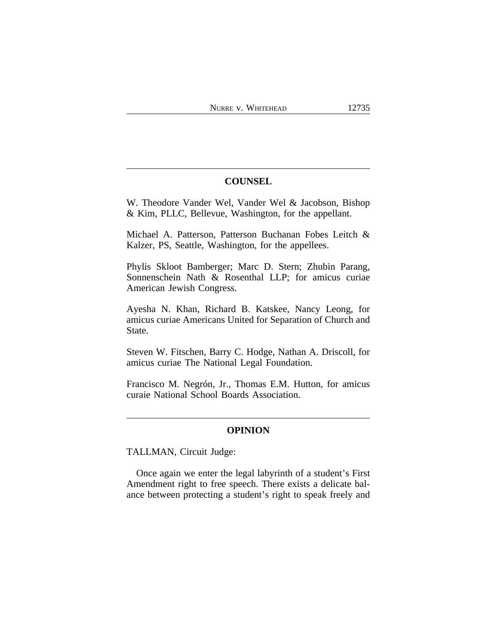## **COUNSEL**

W. Theodore Vander Wel, Vander Wel & Jacobson, Bishop & Kim, PLLC, Bellevue, Washington, for the appellant.

Michael A. Patterson, Patterson Buchanan Fobes Leitch & Kalzer, PS, Seattle, Washington, for the appellees.

Phylis Skloot Bamberger; Marc D. Stern; Zhubin Parang, Sonnenschein Nath & Rosenthal LLP; for amicus curiae American Jewish Congress.

Ayesha N. Khan, Richard B. Katskee, Nancy Leong, for amicus curiae Americans United for Separation of Church and State.

Steven W. Fitschen, Barry C. Hodge, Nathan A. Driscoll, for amicus curiae The National Legal Foundation.

Francisco M. Negrón, Jr., Thomas E.M. Hutton, for amicus curaie National School Boards Association.

#### **OPINION**

TALLMAN, Circuit Judge:

Once again we enter the legal labyrinth of a student's First Amendment right to free speech. There exists a delicate balance between protecting a student's right to speak freely and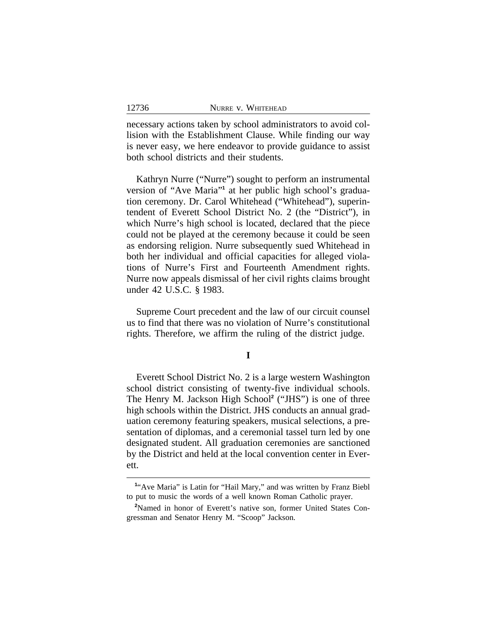necessary actions taken by school administrators to avoid collision with the Establishment Clause. While finding our way is never easy, we here endeavor to provide guidance to assist both school districts and their students.

Kathryn Nurre ("Nurre") sought to perform an instrumental version of "Ave Maria"<sup>1</sup> at her public high school's graduation ceremony. Dr. Carol Whitehead ("Whitehead"), superintendent of Everett School District No. 2 (the "District"), in which Nurre's high school is located, declared that the piece could not be played at the ceremony because it could be seen as endorsing religion. Nurre subsequently sued Whitehead in both her individual and official capacities for alleged violations of Nurre's First and Fourteenth Amendment rights. Nurre now appeals dismissal of her civil rights claims brought under 42 U.S.C. § 1983.

Supreme Court precedent and the law of our circuit counsel us to find that there was no violation of Nurre's constitutional rights. Therefore, we affirm the ruling of the district judge.

**I**

Everett School District No. 2 is a large western Washington school district consisting of twenty-five individual schools. The Henry M. Jackson High School**<sup>2</sup>** ("JHS") is one of three high schools within the District. JHS conducts an annual graduation ceremony featuring speakers, musical selections, a presentation of diplomas, and a ceremonial tassel turn led by one designated student. All graduation ceremonies are sanctioned by the District and held at the local convention center in Everett.

<sup>&</sup>lt;sup>1</sup>"Ave Maria" is Latin for "Hail Mary," and was written by Franz Biebl to put to music the words of a well known Roman Catholic prayer.

**<sup>2</sup>**Named in honor of Everett's native son, former United States Congressman and Senator Henry M. "Scoop" Jackson.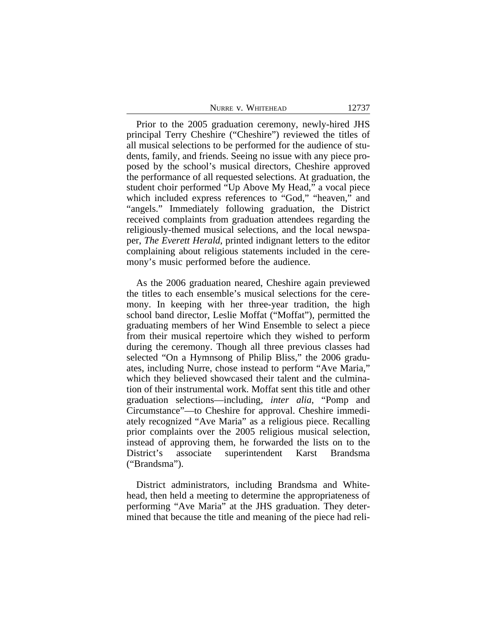|  | NURRE V. WHITEHEAD | 12737 |
|--|--------------------|-------|
|--|--------------------|-------|

Prior to the 2005 graduation ceremony, newly-hired JHS principal Terry Cheshire ("Cheshire") reviewed the titles of all musical selections to be performed for the audience of students, family, and friends. Seeing no issue with any piece proposed by the school's musical directors, Cheshire approved the performance of all requested selections. At graduation, the student choir performed "Up Above My Head," a vocal piece which included express references to "God," "heaven," and "angels." Immediately following graduation, the District received complaints from graduation attendees regarding the religiously-themed musical selections, and the local newspaper, *The Everett Herald*, printed indignant letters to the editor complaining about religious statements included in the ceremony's music performed before the audience.

As the 2006 graduation neared, Cheshire again previewed the titles to each ensemble's musical selections for the ceremony. In keeping with her three-year tradition, the high school band director, Leslie Moffat ("Moffat"), permitted the graduating members of her Wind Ensemble to select a piece from their musical repertoire which they wished to perform during the ceremony. Though all three previous classes had selected "On a Hymnsong of Philip Bliss," the 2006 graduates, including Nurre, chose instead to perform "Ave Maria," which they believed showcased their talent and the culmination of their instrumental work. Moffat sent this title and other graduation selections—including, *inter alia*, "Pomp and Circumstance"—to Cheshire for approval. Cheshire immediately recognized "Ave Maria" as a religious piece. Recalling prior complaints over the 2005 religious musical selection, instead of approving them, he forwarded the lists on to the District's associate superintendent Karst Brandsma ("Brandsma").

District administrators, including Brandsma and Whitehead, then held a meeting to determine the appropriateness of performing "Ave Maria" at the JHS graduation. They determined that because the title and meaning of the piece had reli-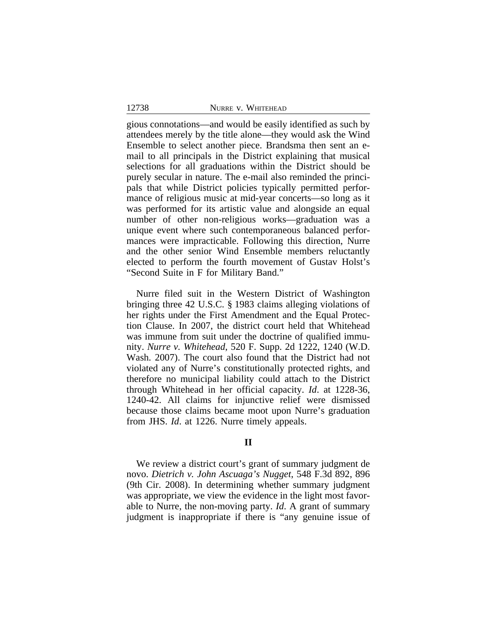gious connotations—and would be easily identified as such by attendees merely by the title alone—they would ask the Wind Ensemble to select another piece. Brandsma then sent an email to all principals in the District explaining that musical selections for all graduations within the District should be purely secular in nature. The e-mail also reminded the principals that while District policies typically permitted performance of religious music at mid-year concerts—so long as it was performed for its artistic value and alongside an equal number of other non-religious works—graduation was a unique event where such contemporaneous balanced performances were impracticable. Following this direction, Nurre and the other senior Wind Ensemble members reluctantly elected to perform the fourth movement of Gustav Holst's "Second Suite in F for Military Band."

Nurre filed suit in the Western District of Washington bringing three 42 U.S.C. § 1983 claims alleging violations of her rights under the First Amendment and the Equal Protection Clause. In 2007, the district court held that Whitehead was immune from suit under the doctrine of qualified immunity. *Nurre v. Whitehead*, 520 F. Supp. 2d 1222, 1240 (W.D. Wash. 2007). The court also found that the District had not violated any of Nurre's constitutionally protected rights, and therefore no municipal liability could attach to the District through Whitehead in her official capacity. *Id*. at 1228-36, 1240-42. All claims for injunctive relief were dismissed because those claims became moot upon Nurre's graduation from JHS. *Id*. at 1226. Nurre timely appeals.

## **II**

We review a district court's grant of summary judgment de novo. *Dietrich v. John Ascuaga's Nugget*, 548 F.3d 892, 896 (9th Cir. 2008). In determining whether summary judgment was appropriate, we view the evidence in the light most favorable to Nurre, the non-moving party. *Id*. A grant of summary judgment is inappropriate if there is "any genuine issue of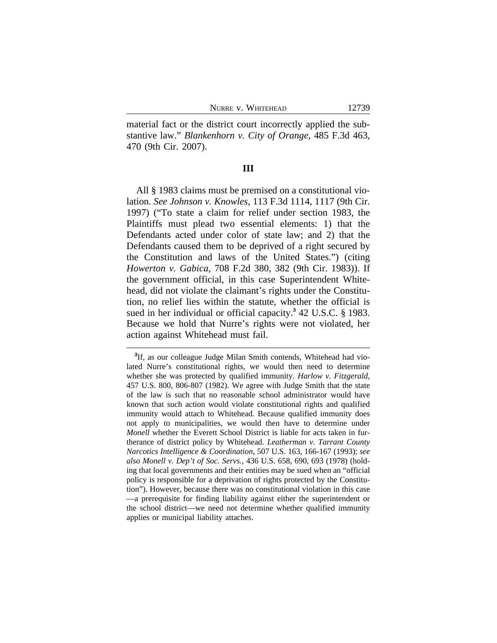material fact or the district court incorrectly applied the substantive law." *Blankenhorn v. City of Orange*, 485 F.3d 463, 470 (9th Cir. 2007).

#### **III**

All § 1983 claims must be premised on a constitutional violation. *See Johnson v. Knowles*, 113 F.3d 1114, 1117 (9th Cir. 1997) ("To state a claim for relief under section 1983, the Plaintiffs must plead two essential elements: 1) that the Defendants acted under color of state law; and 2) that the Defendants caused them to be deprived of a right secured by the Constitution and laws of the United States.") (citing *Howerton v. Gabica*, 708 F.2d 380, 382 (9th Cir. 1983)). If the government official, in this case Superintendent Whitehead, did not violate the claimant's rights under the Constitution, no relief lies within the statute, whether the official is sued in her individual or official capacity.**<sup>3</sup>** 42 U.S.C. § 1983. Because we hold that Nurre's rights were not violated, her action against Whitehead must fail.

**<sup>3</sup>** If, as our colleague Judge Milan Smith contends, Whitehead had violated Nurre's constitutional rights, we would then need to determine whether she was protected by qualified immunity. *Harlow v. Fitzgerald*, 457 U.S. 800, 806-807 (1982). We agree with Judge Smith that the state of the law is such that no reasonable school administrator would have known that such action would violate constitutional rights and qualified immunity would attach to Whitehead. Because qualified immunity does not apply to municipalities, we would then have to determine under *Monell* whether the Everett School District is liable for acts taken in furtherance of district policy by Whitehead. *Leatherman v. Tarrant County Narcotics Intelligence & Coordination*, 507 U.S. 163, 166-167 (1993); *see also Monell v. Dep't of Soc. Servs.*, 436 U.S. 658, 690, 693 (1978) (holding that local governments and their entities may be sued when an "official policy is responsible for a deprivation of rights protected by the Constitution"). However, because there was no constitutional violation in this case —a prerequisite for finding liability against either the superintendent or the school district—we need not determine whether qualified immunity applies or municipal liability attaches.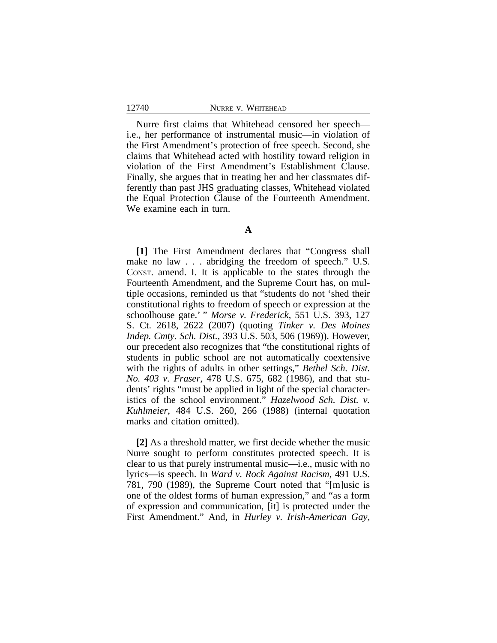Nurre first claims that Whitehead censored her speech i.e., her performance of instrumental music—in violation of the First Amendment's protection of free speech. Second, she claims that Whitehead acted with hostility toward religion in violation of the First Amendment's Establishment Clause. Finally, she argues that in treating her and her classmates differently than past JHS graduating classes, Whitehead violated the Equal Protection Clause of the Fourteenth Amendment. We examine each in turn.

### **A**

**[1]** The First Amendment declares that "Congress shall make no law . . . abridging the freedom of speech." U.S. CONST. amend. I. It is applicable to the states through the Fourteenth Amendment, and the Supreme Court has, on multiple occasions, reminded us that "students do not 'shed their constitutional rights to freedom of speech or expression at the schoolhouse gate.' " *Morse v. Frederick*, 551 U.S. 393, 127 S. Ct. 2618, 2622 (2007) (quoting *Tinker v. Des Moines Indep. Cmty. Sch. Dist.,* 393 U.S. 503, 506 (1969)). However, our precedent also recognizes that "the constitutional rights of students in public school are not automatically coextensive with the rights of adults in other settings," *Bethel Sch. Dist. No. 403 v. Fraser*, 478 U.S. 675, 682 (1986), and that students' rights "must be applied in light of the special characteristics of the school environment." *Hazelwood Sch. Dist. v. Kuhlmeier*, 484 U.S. 260, 266 (1988) (internal quotation marks and citation omitted).

**[2]** As a threshold matter, we first decide whether the music Nurre sought to perform constitutes protected speech. It is clear to us that purely instrumental music—i.e., music with no lyrics—is speech. In *Ward v. Rock Against Racism*, 491 U.S. 781, 790 (1989), the Supreme Court noted that "[m]usic is one of the oldest forms of human expression," and "as a form of expression and communication, [it] is protected under the First Amendment." And, in *Hurley v. Irish-American Gay,*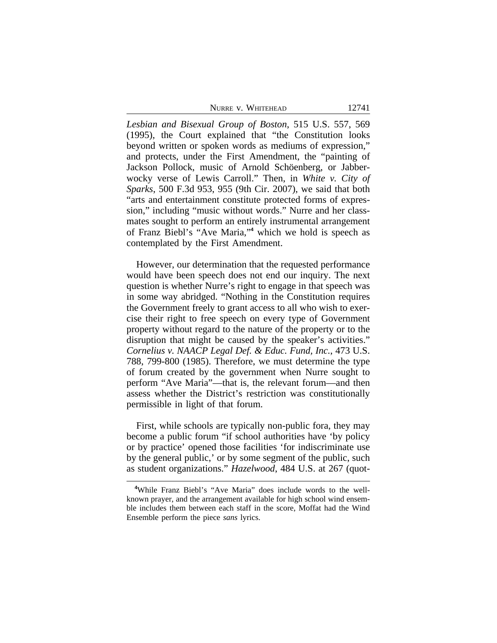|  | NURRE V. WHITEHEAD |  |
|--|--------------------|--|
|--|--------------------|--|

*Lesbian and Bisexual Group of Boston*, 515 U.S. 557, 569 (1995), the Court explained that "the Constitution looks beyond written or spoken words as mediums of expression," and protects, under the First Amendment, the "painting of Jackson Pollock, music of Arnold Schöenberg, or Jabberwocky verse of Lewis Carroll." Then, in *White v. City of Sparks*, 500 F.3d 953, 955 (9th Cir. 2007), we said that both "arts and entertainment constitute protected forms of expression," including "music without words." Nurre and her classmates sought to perform an entirely instrumental arrangement of Franz Biebl's "Ave Maria,"<sup>4</sup> which we hold is speech as contemplated by the First Amendment.

However, our determination that the requested performance would have been speech does not end our inquiry. The next question is whether Nurre's right to engage in that speech was in some way abridged. "Nothing in the Constitution requires the Government freely to grant access to all who wish to exercise their right to free speech on every type of Government property without regard to the nature of the property or to the disruption that might be caused by the speaker's activities." *Cornelius v. NAACP Legal Def. & Educ. Fund, Inc.*, 473 U.S. 788, 799-800 (1985). Therefore, we must determine the type of forum created by the government when Nurre sought to perform "Ave Maria"—that is, the relevant forum—and then assess whether the District's restriction was constitutionally permissible in light of that forum.

First, while schools are typically non-public fora, they may become a public forum "if school authorities have 'by policy or by practice' opened those facilities 'for indiscriminate use by the general public,' or by some segment of the public, such as student organizations." *Hazelwood*, 484 U.S. at 267 (quot-

**<sup>4</sup>**While Franz Biebl's "Ave Maria" does include words to the wellknown prayer, and the arrangement available for high school wind ensemble includes them between each staff in the score, Moffat had the Wind Ensemble perform the piece *sans* lyrics.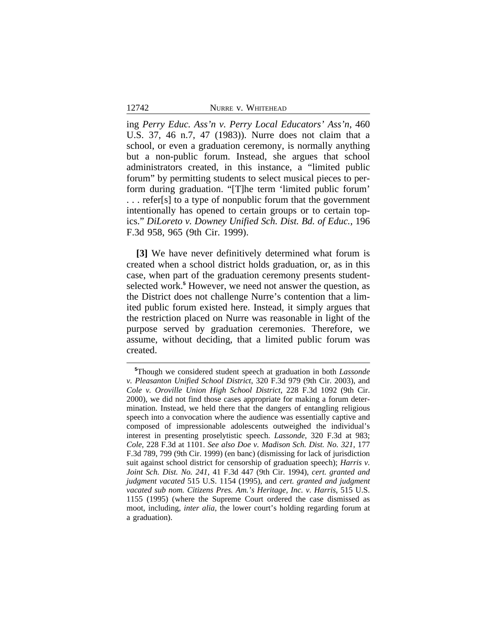ing *Perry Educ. Ass'n v. Perry Local Educators' Ass'n*, 460 U.S. 37, 46 n.7, 47 (1983)). Nurre does not claim that a school, or even a graduation ceremony, is normally anything but a non-public forum. Instead, she argues that school administrators created, in this instance, a "limited public forum" by permitting students to select musical pieces to perform during graduation. "[T]he term 'limited public forum' . . . refer[s] to a type of nonpublic forum that the government intentionally has opened to certain groups or to certain topics." *DiLoreto v. Downey Unified Sch. Dist. Bd. of Educ.*, 196 F.3d 958, 965 (9th Cir. 1999).

**[3]** We have never definitively determined what forum is created when a school district holds graduation, or, as in this case, when part of the graduation ceremony presents studentselected work.<sup>5</sup> However, we need not answer the question, as the District does not challenge Nurre's contention that a limited public forum existed here. Instead, it simply argues that the restriction placed on Nurre was reasonable in light of the purpose served by graduation ceremonies. Therefore, we assume, without deciding, that a limited public forum was created.

**<sup>5</sup>**Though we considered student speech at graduation in both *Lassonde v. Pleasanton Unified School District*, 320 F.3d 979 (9th Cir. 2003), and *Cole v. Oroville Union High School District*, 228 F.3d 1092 (9th Cir. 2000), we did not find those cases appropriate for making a forum determination. Instead, we held there that the dangers of entangling religious speech into a convocation where the audience was essentially captive and composed of impressionable adolescents outweighed the individual's interest in presenting proselytistic speech. *Lassonde*, 320 F.3d at 983; *Cole*, 228 F.3d at 1101. *See also Doe v. Madison Sch. Dist. No. 321*, 177 F.3d 789, 799 (9th Cir. 1999) (en banc) (dismissing for lack of jurisdiction suit against school district for censorship of graduation speech); *Harris v. Joint Sch. Dist. No. 241*, 41 F.3d 447 (9th Cir. 1994), *cert. granted and judgment vacated* 515 U.S. 1154 (1995), and *cert. granted and judgment vacated sub nom. Citizens Pres. Am.'s Heritage, Inc. v. Harris*, 515 U.S. 1155 (1995) (where the Supreme Court ordered the case dismissed as moot, including, *inter alia*, the lower court's holding regarding forum at a graduation).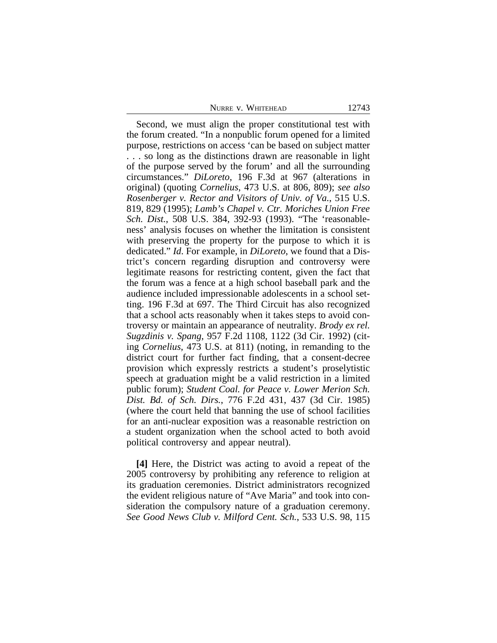Second, we must align the proper constitutional test with the forum created. "In a nonpublic forum opened for a limited purpose, restrictions on access 'can be based on subject matter . . . so long as the distinctions drawn are reasonable in light of the purpose served by the forum' and all the surrounding circumstances." *DiLoreto*, 196 F.3d at 967 (alterations in original) (quoting *Cornelius*, 473 U.S. at 806, 809); *see also Rosenberger v. Rector and Visitors of Univ. of Va.*, 515 U.S. 819, 829 (1995); *Lamb's Chapel v. Ctr. Moriches Union Free Sch. Dist.*, 508 U.S. 384, 392-93 (1993). "The 'reasonableness' analysis focuses on whether the limitation is consistent with preserving the property for the purpose to which it is dedicated." *Id*. For example, in *DiLoreto*, we found that a District's concern regarding disruption and controversy were legitimate reasons for restricting content, given the fact that the forum was a fence at a high school baseball park and the audience included impressionable adolescents in a school setting. 196 F.3d at 697. The Third Circuit has also recognized that a school acts reasonably when it takes steps to avoid controversy or maintain an appearance of neutrality. *Brody ex rel. Sugzdinis v. Spang*, 957 F.2d 1108, 1122 (3d Cir. 1992) (citing *Cornelius*, 473 U.S. at 811) (noting, in remanding to the district court for further fact finding, that a consent-decree provision which expressly restricts a student's proselytistic speech at graduation might be a valid restriction in a limited public forum); *Student Coal. for Peace v. Lower Merion Sch. Dist. Bd. of Sch. Dirs.*, 776 F.2d 431, 437 (3d Cir. 1985) (where the court held that banning the use of school facilities for an anti-nuclear exposition was a reasonable restriction on a student organization when the school acted to both avoid political controversy and appear neutral).

**[4]** Here, the District was acting to avoid a repeat of the 2005 controversy by prohibiting any reference to religion at its graduation ceremonies. District administrators recognized the evident religious nature of "Ave Maria" and took into consideration the compulsory nature of a graduation ceremony. *See Good News Club v. Milford Cent. Sch.*, 533 U.S. 98, 115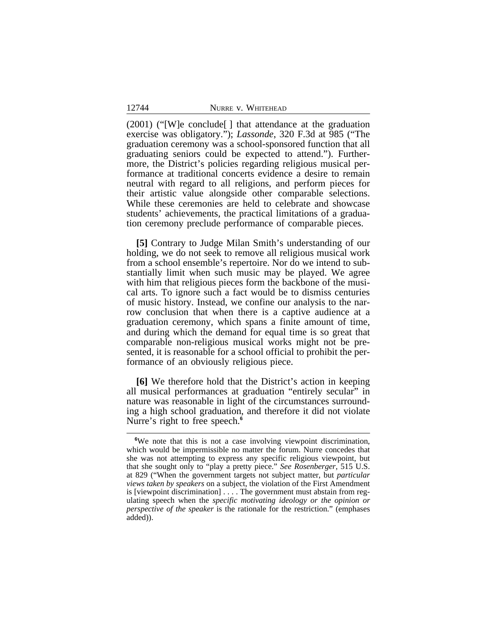(2001) ("[W]e conclude[ ] that attendance at the graduation exercise was obligatory."); *Lassonde*, 320 F.3d at 985 ("The graduation ceremony was a school-sponsored function that all graduating seniors could be expected to attend."). Furthermore, the District's policies regarding religious musical performance at traditional concerts evidence a desire to remain neutral with regard to all religions, and perform pieces for their artistic value alongside other comparable selections. While these ceremonies are held to celebrate and showcase students' achievements, the practical limitations of a graduation ceremony preclude performance of comparable pieces.

**[5]** Contrary to Judge Milan Smith's understanding of our holding, we do not seek to remove all religious musical work from a school ensemble's repertoire. Nor do we intend to substantially limit when such music may be played. We agree with him that religious pieces form the backbone of the musical arts. To ignore such a fact would be to dismiss centuries of music history. Instead, we confine our analysis to the narrow conclusion that when there is a captive audience at a graduation ceremony, which spans a finite amount of time, and during which the demand for equal time is so great that comparable non-religious musical works might not be presented, it is reasonable for a school official to prohibit the performance of an obviously religious piece.

**[6]** We therefore hold that the District's action in keeping all musical performances at graduation "entirely secular" in nature was reasonable in light of the circumstances surrounding a high school graduation, and therefore it did not violate Nurre's right to free speech.**<sup>6</sup>**

**<sup>6</sup>**We note that this is not a case involving viewpoint discrimination, which would be impermissible no matter the forum. Nurre concedes that she was not attempting to express any specific religious viewpoint, but that she sought only to "play a pretty piece." *See Rosenberger*, 515 U.S. at 829 ("When the government targets not subject matter, but *particular views taken by speakers* on a subject, the violation of the First Amendment is [viewpoint discrimination] . . . . The government must abstain from regulating speech when the *specific motivating ideology or the opinion or perspective of the speaker* is the rationale for the restriction." (emphases added)).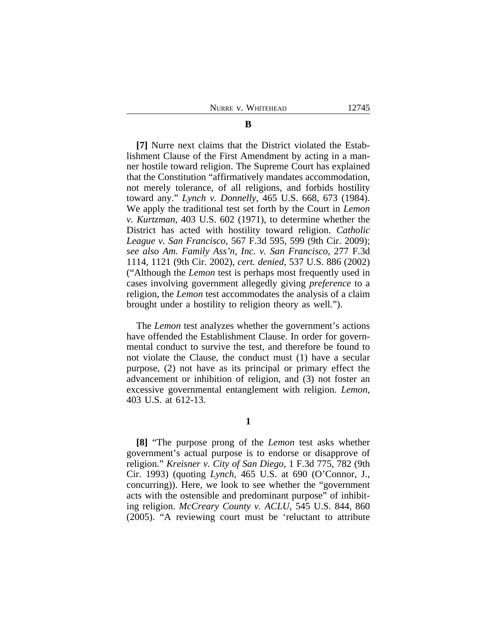#### **B**

**[7]** Nurre next claims that the District violated the Establishment Clause of the First Amendment by acting in a manner hostile toward religion. The Supreme Court has explained that the Constitution "affirmatively mandates accommodation, not merely tolerance, of all religions, and forbids hostility toward any." *Lynch v. Donnelly*, 465 U.S. 668, 673 (1984). We apply the traditional test set forth by the Court in *Lemon v. Kurtzman*, 403 U.S. 602 (1971), to determine whether the District has acted with hostility toward religion. *Catholic League v. San Francisco*, 567 F.3d 595, 599 (9th Cir. 2009); *see also Am. Family Ass'n, Inc. v. San Francisco*, 277 F.3d 1114, 1121 (9th Cir. 2002), *cert. denied*, 537 U.S. 886 (2002) ("Although the *Lemon* test is perhaps most frequently used in cases involving government allegedly giving *preference* to a religion, the *Lemon* test accommodates the analysis of a claim brought under a hostility to religion theory as well.").

The *Lemon* test analyzes whether the government's actions have offended the Establishment Clause. In order for governmental conduct to survive the test, and therefore be found to not violate the Clause, the conduct must (1) have a secular purpose, (2) not have as its principal or primary effect the advancement or inhibition of religion, and (3) not foster an excessive governmental entanglement with religion. *Lemon*, 403 U.S. at 612-13.

**1**

**[8]** "The purpose prong of the *Lemon* test asks whether government's actual purpose is to endorse or disapprove of religion." *Kreisner v. City of San Diego*, 1 F.3d 775, 782 (9th Cir. 1993) (quoting *Lynch*, 465 U.S. at 690 (O'Connor, J., concurring)). Here, we look to see whether the "government acts with the ostensible and predominant purpose" of inhibiting religion. *McCreary County v. ACLU*, 545 U.S. 844, 860 (2005). "A reviewing court must be 'reluctant to attribute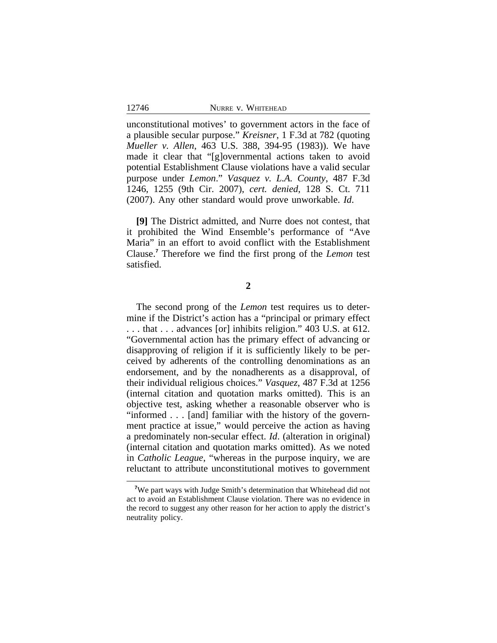unconstitutional motives' to government actors in the face of a plausible secular purpose." *Kreisner*, 1 F.3d at 782 (quoting *Mueller v. Allen*, 463 U.S. 388, 394-95 (1983)). We have made it clear that "[g]overnmental actions taken to avoid potential Establishment Clause violations have a valid secular purpose under *Lemon*." *Vasquez v. L.A. County*, 487 F.3d 1246, 1255 (9th Cir. 2007), *cert. denied*, 128 S. Ct. 711 (2007). Any other standard would prove unworkable. *Id*.

**[9]** The District admitted, and Nurre does not contest, that it prohibited the Wind Ensemble's performance of "Ave Maria" in an effort to avoid conflict with the Establishment Clause.**<sup>7</sup>** Therefore we find the first prong of the *Lemon* test satisfied.

**2**

The second prong of the *Lemon* test requires us to determine if the District's action has a "principal or primary effect . . . that . . . advances [or] inhibits religion." 403 U.S. at 612. "Governmental action has the primary effect of advancing or disapproving of religion if it is sufficiently likely to be perceived by adherents of the controlling denominations as an endorsement, and by the nonadherents as a disapproval, of their individual religious choices." *Vasquez*, 487 F.3d at 1256 (internal citation and quotation marks omitted). This is an objective test, asking whether a reasonable observer who is "informed . . . [and] familiar with the history of the government practice at issue," would perceive the action as having a predominately non-secular effect. *Id*. (alteration in original) (internal citation and quotation marks omitted). As we noted in *Catholic League*, "whereas in the purpose inquiry, we are reluctant to attribute unconstitutional motives to government

**<sup>7</sup>**We part ways with Judge Smith's determination that Whitehead did not act to avoid an Establishment Clause violation. There was no evidence in the record to suggest any other reason for her action to apply the district's neutrality policy.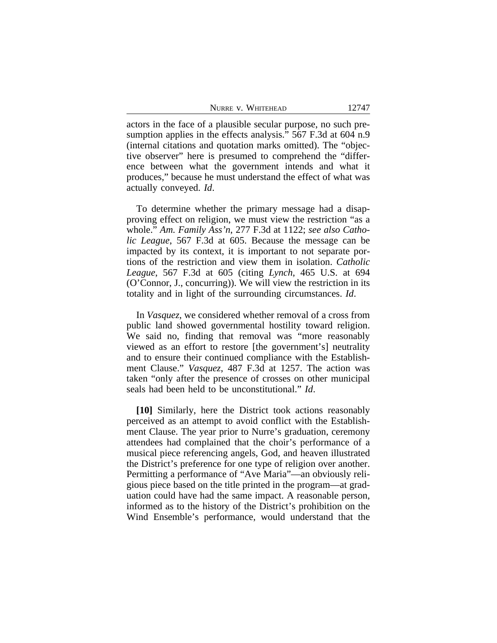|  | NURRE V. WHITEHEAD |  |
|--|--------------------|--|
|--|--------------------|--|

actors in the face of a plausible secular purpose, no such presumption applies in the effects analysis." 567 F.3d at 604 n.9 (internal citations and quotation marks omitted). The "objective observer" here is presumed to comprehend the "difference between what the government intends and what it produces," because he must understand the effect of what was actually conveyed. *Id*.

To determine whether the primary message had a disapproving effect on religion, we must view the restriction "as a whole." *Am. Family Ass'n*, 277 F.3d at 1122; *see also Catholic League*, 567 F.3d at 605. Because the message can be impacted by its context, it is important to not separate portions of the restriction and view them in isolation. *Catholic League*, 567 F.3d at 605 (citing *Lynch*, 465 U.S. at 694 (O'Connor, J., concurring)). We will view the restriction in its totality and in light of the surrounding circumstances. *Id*.

In *Vasquez*, we considered whether removal of a cross from public land showed governmental hostility toward religion. We said no, finding that removal was "more reasonably viewed as an effort to restore [the government's] neutrality and to ensure their continued compliance with the Establishment Clause." *Vasquez*, 487 F.3d at 1257. The action was taken "only after the presence of crosses on other municipal seals had been held to be unconstitutional." *Id*.

**[10]** Similarly, here the District took actions reasonably perceived as an attempt to avoid conflict with the Establishment Clause. The year prior to Nurre's graduation, ceremony attendees had complained that the choir's performance of a musical piece referencing angels, God, and heaven illustrated the District's preference for one type of religion over another. Permitting a performance of "Ave Maria"—an obviously religious piece based on the title printed in the program—at graduation could have had the same impact. A reasonable person, informed as to the history of the District's prohibition on the Wind Ensemble's performance, would understand that the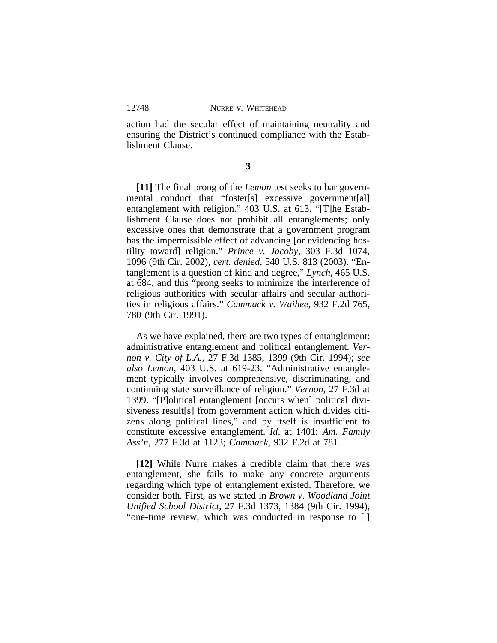action had the secular effect of maintaining neutrality and ensuring the District's continued compliance with the Establishment Clause.

**3**

**[11]** The final prong of the *Lemon* test seeks to bar governmental conduct that "foster[s] excessive government[al] entanglement with religion." 403 U.S. at 613. "[T]he Establishment Clause does not prohibit all entanglements; only excessive ones that demonstrate that a government program has the impermissible effect of advancing [or evidencing hostility toward] religion." *Prince v. Jacoby*, 303 F.3d 1074, 1096 (9th Cir. 2002), *cert. denied*, 540 U.S. 813 (2003). "Entanglement is a question of kind and degree," *Lynch*, 465 U.S. at 684, and this "prong seeks to minimize the interference of religious authorities with secular affairs and secular authorities in religious affairs." *Cammack v. Waihee*, 932 F.2d 765, 780 (9th Cir. 1991).

As we have explained, there are two types of entanglement: administrative entanglement and political entanglement. *Vernon v. City of L.A.*, 27 F.3d 1385, 1399 (9th Cir. 1994); *see also Lemon*, 403 U.S. at 619-23. "Administrative entanglement typically involves comprehensive, discriminating, and continuing state surveillance of religion." *Vernon*, 27 F.3d at 1399. "[P]olitical entanglement [occurs when] political divisiveness result[s] from government action which divides citizens along political lines," and by itself is insufficient to constitute excessive entanglement. *Id*. at 1401; *Am. Family Ass'n*, 277 F.3d at 1123; *Cammack*, 932 F.2d at 781.

**[12]** While Nurre makes a credible claim that there was entanglement, she fails to make any concrete arguments regarding which type of entanglement existed. Therefore, we consider both. First, as we stated in *Brown v. Woodland Joint Unified School District*, 27 F.3d 1373, 1384 (9th Cir. 1994), "one-time review, which was conducted in response to [ ]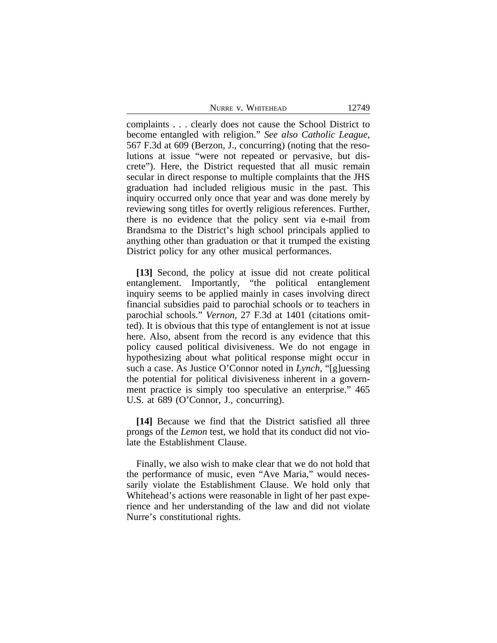complaints . . . clearly does not cause the School District to become entangled with religion." *See also Catholic League*, 567 F.3d at 609 (Berzon, J., concurring) (noting that the resolutions at issue "were not repeated or pervasive, but discrete"). Here, the District requested that all music remain secular in direct response to multiple complaints that the JHS graduation had included religious music in the past. This inquiry occurred only once that year and was done merely by reviewing song titles for overtly religious references. Further, there is no evidence that the policy sent via e-mail from Brandsma to the District's high school principals applied to anything other than graduation or that it trumped the existing District policy for any other musical performances.

**[13]** Second, the policy at issue did not create political entanglement. Importantly, "the political entanglement inquiry seems to be applied mainly in cases involving direct financial subsidies paid to parochial schools or to teachers in parochial schools." *Vernon*, 27 F.3d at 1401 (citations omitted). It is obvious that this type of entanglement is not at issue here. Also, absent from the record is any evidence that this policy caused political divisiveness. We do not engage in hypothesizing about what political response might occur in such a case. As Justice O'Connor noted in *Lynch*, "[g]uessing the potential for political divisiveness inherent in a government practice is simply too speculative an enterprise." 465 U.S. at 689 (O'Connor, J., concurring).

**[14]** Because we find that the District satisfied all three prongs of the *Lemon* test, we hold that its conduct did not violate the Establishment Clause.

Finally, we also wish to make clear that we do not hold that the performance of music, even "Ave Maria," would necessarily violate the Establishment Clause. We hold only that Whitehead's actions were reasonable in light of her past experience and her understanding of the law and did not violate Nurre's constitutional rights.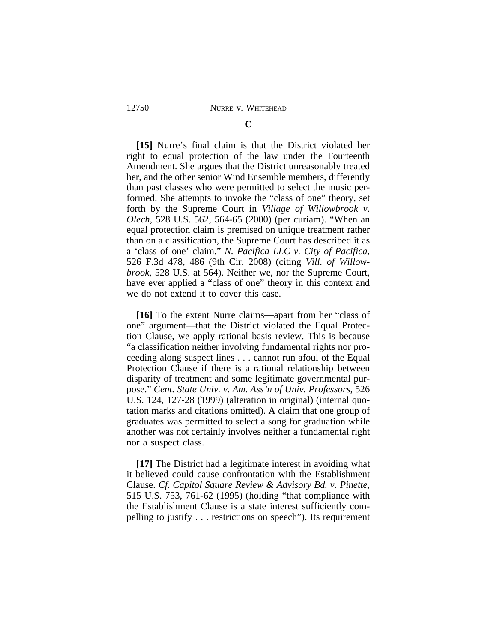## **C**

**[15]** Nurre's final claim is that the District violated her right to equal protection of the law under the Fourteenth Amendment. She argues that the District unreasonably treated her, and the other senior Wind Ensemble members, differently than past classes who were permitted to select the music performed. She attempts to invoke the "class of one" theory, set forth by the Supreme Court in *Village of Willowbrook v. Olech*, 528 U.S. 562, 564-65 (2000) (per curiam). "When an equal protection claim is premised on unique treatment rather than on a classification, the Supreme Court has described it as a 'class of one' claim." *N. Pacifica LLC v. City of Pacifica*, 526 F.3d 478, 486 (9th Cir. 2008) (citing *Vill. of Willowbrook*, 528 U.S. at 564). Neither we, nor the Supreme Court, have ever applied a "class of one" theory in this context and we do not extend it to cover this case.

**[16]** To the extent Nurre claims—apart from her "class of one" argument—that the District violated the Equal Protection Clause, we apply rational basis review. This is because "a classification neither involving fundamental rights nor proceeding along suspect lines . . . cannot run afoul of the Equal Protection Clause if there is a rational relationship between disparity of treatment and some legitimate governmental purpose." *Cent. State Univ. v. Am. Ass'n of Univ. Professors*, 526 U.S. 124, 127-28 (1999) (alteration in original) (internal quotation marks and citations omitted). A claim that one group of graduates was permitted to select a song for graduation while another was not certainly involves neither a fundamental right nor a suspect class.

**[17]** The District had a legitimate interest in avoiding what it believed could cause confrontation with the Establishment Clause. *Cf. Capitol Square Review & Advisory Bd. v. Pinette*, 515 U.S. 753, 761-62 (1995) (holding "that compliance with the Establishment Clause is a state interest sufficiently compelling to justify . . . restrictions on speech"). Its requirement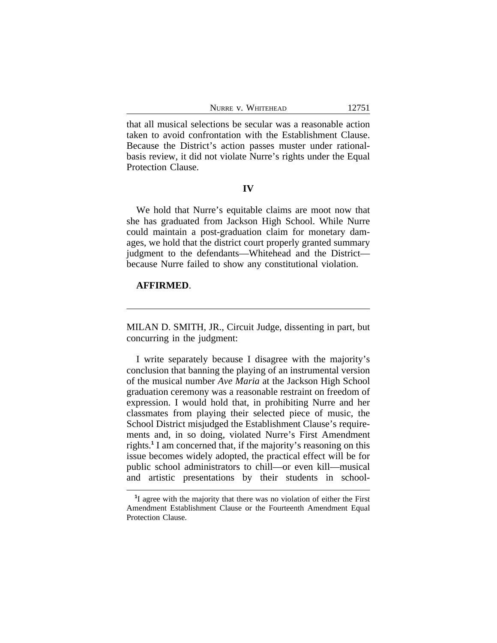|  | NURRE V. WHITEHEAD |  |
|--|--------------------|--|
|--|--------------------|--|

that all musical selections be secular was a reasonable action taken to avoid confrontation with the Establishment Clause. Because the District's action passes muster under rationalbasis review, it did not violate Nurre's rights under the Equal Protection Clause.

#### **IV**

We hold that Nurre's equitable claims are moot now that she has graduated from Jackson High School. While Nurre could maintain a post-graduation claim for monetary damages, we hold that the district court properly granted summary judgment to the defendants—Whitehead and the District because Nurre failed to show any constitutional violation.

## **AFFIRMED**.

MILAN D. SMITH, JR., Circuit Judge, dissenting in part, but concurring in the judgment:

I write separately because I disagree with the majority's conclusion that banning the playing of an instrumental version of the musical number *Ave Maria* at the Jackson High School graduation ceremony was a reasonable restraint on freedom of expression. I would hold that, in prohibiting Nurre and her classmates from playing their selected piece of music, the School District misjudged the Establishment Clause's requirements and, in so doing, violated Nurre's First Amendment rights.**<sup>1</sup>** I am concerned that, if the majority's reasoning on this issue becomes widely adopted, the practical effect will be for public school administrators to chill—or even kill—musical and artistic presentations by their students in school-

**<sup>1</sup>** I agree with the majority that there was no violation of either the First Amendment Establishment Clause or the Fourteenth Amendment Equal Protection Clause.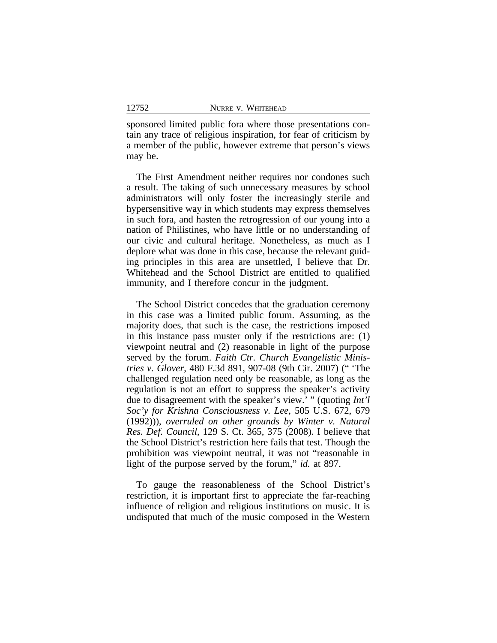sponsored limited public fora where those presentations contain any trace of religious inspiration, for fear of criticism by a member of the public, however extreme that person's views may be.

The First Amendment neither requires nor condones such a result. The taking of such unnecessary measures by school administrators will only foster the increasingly sterile and hypersensitive way in which students may express themselves in such fora, and hasten the retrogression of our young into a nation of Philistines, who have little or no understanding of our civic and cultural heritage. Nonetheless, as much as I deplore what was done in this case, because the relevant guiding principles in this area are unsettled, I believe that Dr. Whitehead and the School District are entitled to qualified immunity, and I therefore concur in the judgment.

The School District concedes that the graduation ceremony in this case was a limited public forum. Assuming, as the majority does, that such is the case, the restrictions imposed in this instance pass muster only if the restrictions are: (1) viewpoint neutral and (2) reasonable in light of the purpose served by the forum. *Faith Ctr. Church Evangelistic Ministries v. Glover*, 480 F.3d 891, 907-08 (9th Cir. 2007) (" 'The challenged regulation need only be reasonable, as long as the regulation is not an effort to suppress the speaker's activity due to disagreement with the speaker's view.' " (quoting *Int'l Soc'y for Krishna Consciousness v. Lee*, 505 U.S. 672, 679 (1992))), *overruled on other grounds by Winter v. Natural Res. Def. Council*, 129 S. Ct. 365, 375 (2008). I believe that the School District's restriction here fails that test. Though the prohibition was viewpoint neutral, it was not "reasonable in light of the purpose served by the forum," *id.* at 897.

To gauge the reasonableness of the School District's restriction, it is important first to appreciate the far-reaching influence of religion and religious institutions on music. It is undisputed that much of the music composed in the Western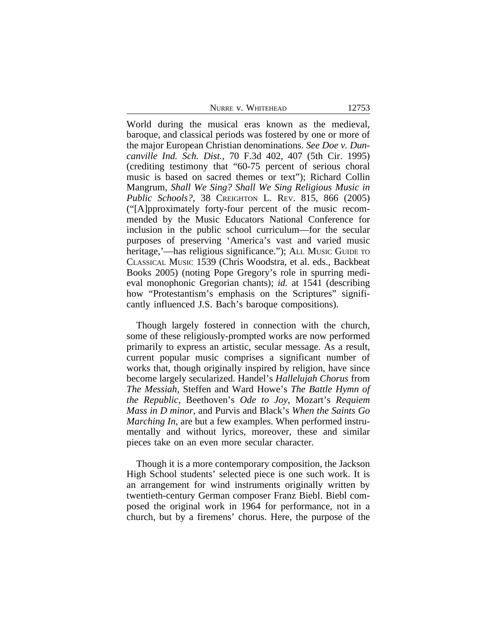World during the musical eras known as the medieval, baroque, and classical periods was fostered by one or more of the major European Christian denominations. *See Doe v. Duncanville Ind. Sch. Dist.*, 70 F.3d 402, 407 (5th Cir. 1995) (crediting testimony that "60-75 percent of serious choral music is based on sacred themes or text"); Richard Collin Mangrum, *Shall We Sing? Shall We Sing Religious Music in Public Schools?*, 38 CREIGHTON L. REV. 815, 866 (2005) ("[A]pproximately forty-four percent of the music recommended by the Music Educators National Conference for inclusion in the public school curriculum—for the secular purposes of preserving 'America's vast and varied music heritage,'—has religious significance."); ALL Music Guide to CLASSICAL MUSIC 1539 (Chris Woodstra, et al. eds., Backbeat Books 2005) (noting Pope Gregory's role in spurring medieval monophonic Gregorian chants); *id.* at 1541 (describing how "Protestantism's emphasis on the Scriptures" significantly influenced J.S. Bach's baroque compositions).

Though largely fostered in connection with the church, some of these religiously-prompted works are now performed primarily to express an artistic, secular message. As a result, current popular music comprises a significant number of works that, though originally inspired by religion, have since become largely secularized. Handel's *Hallelujah Chorus* from *The Messiah*, Steffen and Ward Howe's *The Battle Hymn of the Republic*, Beethoven's *Ode to Joy*, Mozart's *Requiem Mass in D minor*, and Purvis and Black's *When the Saints Go Marching In*, are but a few examples. When performed instrumentally and without lyrics, moreover, these and similar pieces take on an even more secular character.

Though it is a more contemporary composition, the Jackson High School students' selected piece is one such work. It is an arrangement for wind instruments originally written by twentieth-century German composer Franz Biebl. Biebl composed the original work in 1964 for performance, not in a church, but by a firemens' chorus. Here, the purpose of the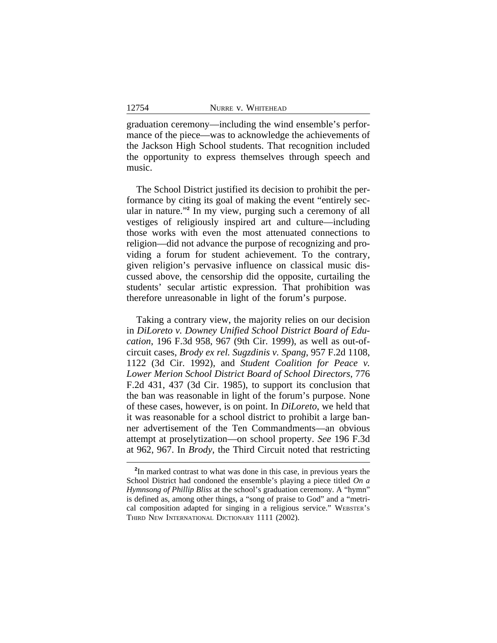graduation ceremony—including the wind ensemble's performance of the piece—was to acknowledge the achievements of the Jackson High School students. That recognition included the opportunity to express themselves through speech and music.

The School District justified its decision to prohibit the performance by citing its goal of making the event "entirely secular in nature." **2** In my view, purging such a ceremony of all vestiges of religiously inspired art and culture—including those works with even the most attenuated connections to religion—did not advance the purpose of recognizing and providing a forum for student achievement. To the contrary, given religion's pervasive influence on classical music discussed above, the censorship did the opposite, curtailing the students' secular artistic expression. That prohibition was therefore unreasonable in light of the forum's purpose.

Taking a contrary view, the majority relies on our decision in *DiLoreto v. Downey Unified School District Board of Education*, 196 F.3d 958, 967 (9th Cir. 1999), as well as out-ofcircuit cases, *Brody ex rel. Sugzdinis v. Spang*, 957 F.2d 1108, 1122 (3d Cir. 1992), and *Student Coalition for Peace v. Lower Merion School District Board of School Directors*, 776 F.2d 431, 437 (3d Cir. 1985), to support its conclusion that the ban was reasonable in light of the forum's purpose. None of these cases, however, is on point. In *DiLoreto*, we held that it was reasonable for a school district to prohibit a large banner advertisement of the Ten Commandments—an obvious attempt at proselytization—on school property. *See* 196 F.3d at 962, 967. In *Brody*, the Third Circuit noted that restricting

**<sup>2</sup>** In marked contrast to what was done in this case, in previous years the School District had condoned the ensemble's playing a piece titled *On a Hymnsong of Phillip Bliss* at the school's graduation ceremony. A "hymn" is defined as, among other things, a "song of praise to God" and a "metrical composition adapted for singing in a religious service." WEBSTER'S THIRD NEW INTERNATIONAL DICTIONARY 1111 (2002).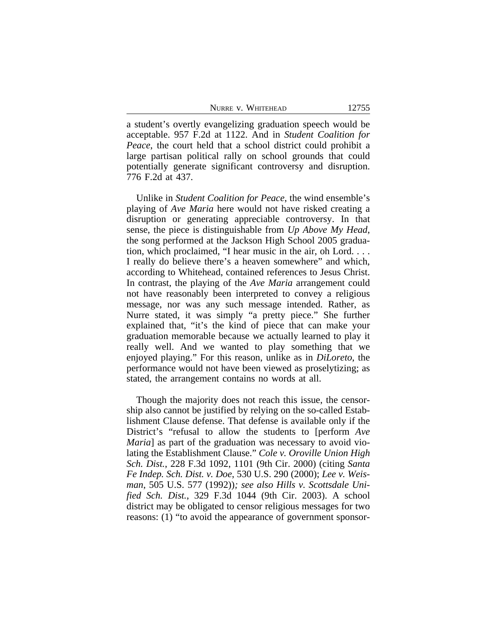a student's overtly evangelizing graduation speech would be acceptable. 957 F.2d at 1122. And in *Student Coalition for Peace*, the court held that a school district could prohibit a large partisan political rally on school grounds that could potentially generate significant controversy and disruption. 776 F.2d at 437.

Unlike in *Student Coalition for Peace*, the wind ensemble's playing of *Ave Maria* here would not have risked creating a disruption or generating appreciable controversy. In that sense, the piece is distinguishable from *Up Above My Head*, the song performed at the Jackson High School 2005 graduation, which proclaimed, "I hear music in the air, oh Lord. . . . I really do believe there's a heaven somewhere" and which, according to Whitehead, contained references to Jesus Christ. In contrast, the playing of the *Ave Maria* arrangement could not have reasonably been interpreted to convey a religious message, nor was any such message intended. Rather, as Nurre stated, it was simply "a pretty piece." She further explained that, "it's the kind of piece that can make your graduation memorable because we actually learned to play it really well. And we wanted to play something that we enjoyed playing." For this reason, unlike as in *DiLoreto*, the performance would not have been viewed as proselytizing; as stated, the arrangement contains no words at all.

Though the majority does not reach this issue, the censorship also cannot be justified by relying on the so-called Establishment Clause defense. That defense is available only if the District's "refusal to allow the students to [perform *Ave Maria*] as part of the graduation was necessary to avoid violating the Establishment Clause." *Cole v. Oroville Union High Sch. Dist.*, 228 F.3d 1092, 1101 (9th Cir. 2000) (citing *Santa Fe Indep. Sch. Dist. v. Doe*, 530 U.S. 290 (2000); *Lee v. Weisman*, 505 U.S. 577 (1992))*; see also Hills v. Scottsdale Unified Sch. Dist.*, 329 F.3d 1044 (9th Cir. 2003). A school district may be obligated to censor religious messages for two reasons: (1) "to avoid the appearance of government sponsor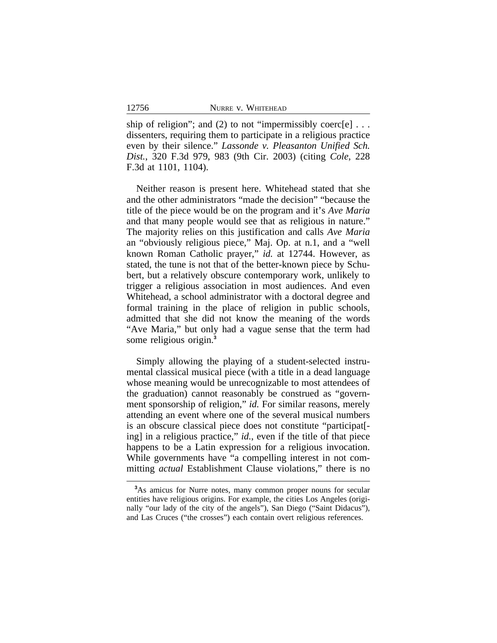ship of religion"; and (2) to not "impermissibly coerc[e]  $\dots$ dissenters, requiring them to participate in a religious practice even by their silence." *Lassonde v. Pleasanton Unified Sch. Dist.*, 320 F.3d 979, 983 (9th Cir. 2003) (citing *Cole*, 228 F.3d at 1101, 1104).

Neither reason is present here. Whitehead stated that she and the other administrators "made the decision" "because the title of the piece would be on the program and it's *Ave Maria* and that many people would see that as religious in nature." The majority relies on this justification and calls *Ave Maria* an "obviously religious piece," Maj. Op. at n.1, and a "well known Roman Catholic prayer," *id.* at 12744. However, as stated, the tune is not that of the better-known piece by Schubert, but a relatively obscure contemporary work, unlikely to trigger a religious association in most audiences. And even Whitehead, a school administrator with a doctoral degree and formal training in the place of religion in public schools, admitted that she did not know the meaning of the words "Ave Maria," but only had a vague sense that the term had some religious origin.**<sup>3</sup>**

Simply allowing the playing of a student-selected instrumental classical musical piece (with a title in a dead language whose meaning would be unrecognizable to most attendees of the graduation) cannot reasonably be construed as "government sponsorship of religion," *id.* For similar reasons, merely attending an event where one of the several musical numbers is an obscure classical piece does not constitute "participat[ ing] in a religious practice," *id.*, even if the title of that piece happens to be a Latin expression for a religious invocation. While governments have "a compelling interest in not committing *actual* Establishment Clause violations," there is no

**<sup>3</sup>**As amicus for Nurre notes, many common proper nouns for secular entities have religious origins. For example, the cities Los Angeles (originally "our lady of the city of the angels"), San Diego ("Saint Didacus"), and Las Cruces ("the crosses") each contain overt religious references.